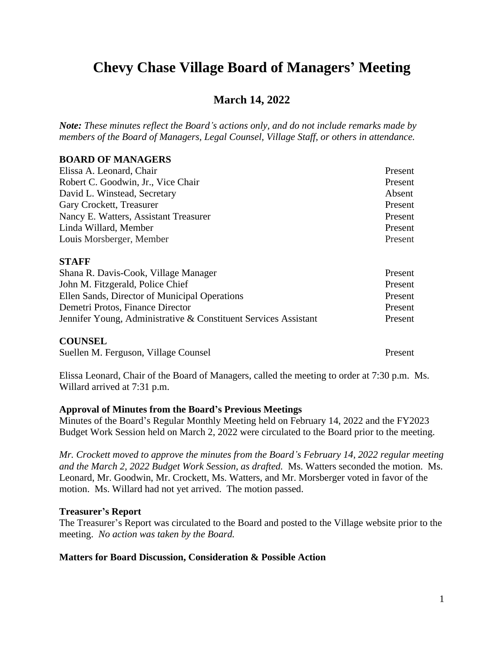# **Chevy Chase Village Board of Managers' Meeting**

# **March 14, 2022**

*Note: These minutes reflect the Board's actions only, and do not include remarks made by members of the Board of Managers, Legal Counsel, Village Staff, or others in attendance.*

# **BOARD OF MANAGERS**

| Elissa A. Leonard, Chair              | Present |
|---------------------------------------|---------|
| Robert C. Goodwin, Jr., Vice Chair    | Present |
| David L. Winstead, Secretary          | Absent  |
| Gary Crockett, Treasurer              | Present |
| Nancy E. Watters, Assistant Treasurer | Present |
| Linda Willard, Member                 | Present |
| Louis Morsberger, Member              | Present |
|                                       |         |

#### **STAFF**

| Shana R. Davis-Cook, Village Manager                            | Present |
|-----------------------------------------------------------------|---------|
| John M. Fitzgerald, Police Chief                                | Present |
| Ellen Sands, Director of Municipal Operations                   | Present |
| Demetri Protos, Finance Director                                | Present |
| Jennifer Young, Administrative & Constituent Services Assistant | Present |
|                                                                 |         |

#### **COUNSEL**

Suellen M. Ferguson, Village Counsel Present

Elissa Leonard, Chair of the Board of Managers, called the meeting to order at 7:30 p.m. Ms. Willard arrived at 7:31 p.m.

# **Approval of Minutes from the Board's Previous Meetings**

Minutes of the Board's Regular Monthly Meeting held on February 14, 2022 and the FY2023 Budget Work Session held on March 2, 2022 were circulated to the Board prior to the meeting.

*Mr. Crockett moved to approve the minutes from the Board's February 14, 2022 regular meeting and the March 2, 2022 Budget Work Session, as drafted.* Ms. Watters seconded the motion. Ms. Leonard, Mr. Goodwin, Mr. Crockett, Ms. Watters, and Mr. Morsberger voted in favor of the motion. Ms. Willard had not yet arrived. The motion passed.

# **Treasurer's Report**

The Treasurer's Report was circulated to the Board and posted to the Village website prior to the meeting. *No action was taken by the Board.*

# **Matters for Board Discussion, Consideration & Possible Action**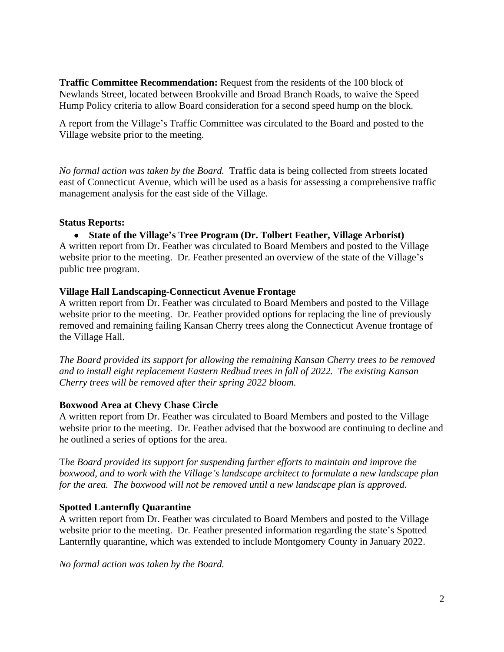**Traffic Committee Recommendation:** Request from the residents of the 100 block of Newlands Street, located between Brookville and Broad Branch Roads, to waive the Speed Hump Policy criteria to allow Board consideration for a second speed hump on the block.

A report from the Village's Traffic Committee was circulated to the Board and posted to the Village website prior to the meeting.

*No formal action was taken by the Board.* Traffic data is being collected from streets located east of Connecticut Avenue, which will be used as a basis for assessing a comprehensive traffic management analysis for the east side of the Village*.*

# **Status Reports:**

 **State of the Village's Tree Program (Dr. Tolbert Feather, Village Arborist)** A written report from Dr. Feather was circulated to Board Members and posted to the Village website prior to the meeting. Dr. Feather presented an overview of the state of the Village's public tree program.

# **Village Hall Landscaping-Connecticut Avenue Frontage**

A written report from Dr. Feather was circulated to Board Members and posted to the Village website prior to the meeting. Dr. Feather provided options for replacing the line of previously removed and remaining failing Kansan Cherry trees along the Connecticut Avenue frontage of the Village Hall.

*The Board provided its support for allowing the remaining Kansan Cherry trees to be removed and to install eight replacement Eastern Redbud trees in fall of 2022. The existing Kansan Cherry trees will be removed after their spring 2022 bloom.*

# **Boxwood Area at Chevy Chase Circle**

A written report from Dr. Feather was circulated to Board Members and posted to the Village website prior to the meeting. Dr. Feather advised that the boxwood are continuing to decline and he outlined a series of options for the area.

T*he Board provided its support for suspending further efforts to maintain and improve the boxwood, and to work with the Village's landscape architect to formulate a new landscape plan for the area. The boxwood will not be removed until a new landscape plan is approved.*

# **Spotted Lanternfly Quarantine**

A written report from Dr. Feather was circulated to Board Members and posted to the Village website prior to the meeting. Dr. Feather presented information regarding the state's Spotted Lanternfly quarantine, which was extended to include Montgomery County in January 2022.

*No formal action was taken by the Board.*